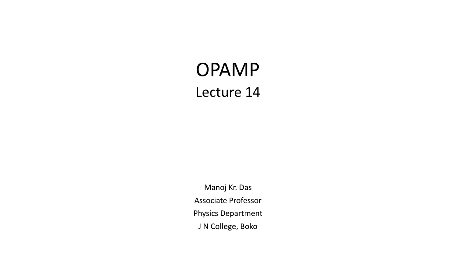# OPAMP Lecture 14

Manoj Kr. Das Associate Professor Physics Department J N College, Boko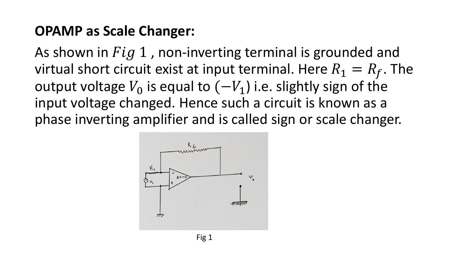## **OPAMP as Scale Changer:**

As shown in  $Fig 1$ , non-inverting terminal is grounded and virtual short circuit exist at input terminal. Here  $R_1 = R_f$ . The output voltage  $V_0$  is equal to  $(-V_1)$  i.e. slightly sign of the input voltage changed. Hence such a circuit is known as a phase inverting amplifier and is called sign or scale changer.

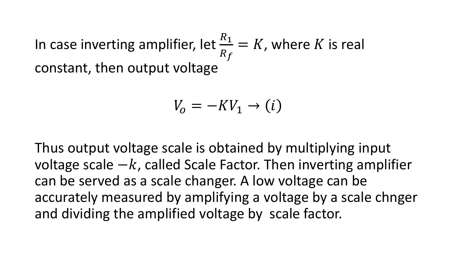In case inverting amplifier, let  $\frac{R_1}{R_2}$  $R_f$  $= K$ , where K is real constant, then output voltage

$$
V_o = -KV_1 \rightarrow (i)
$$

Thus output voltage scale is obtained by multiplying input voltage scale  $-k$ , called Scale Factor. Then inverting amplifier can be served as a scale changer. A low voltage can be accurately measured by amplifying a voltage by a scale chnger and dividing the amplified voltage by scale factor.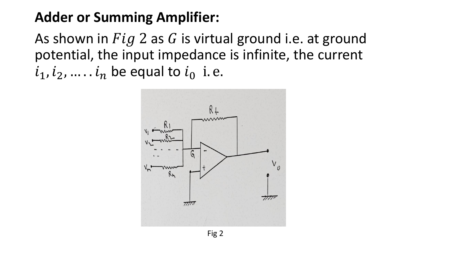## **Adder or Summing Amplifier:**

As shown in  $Fig 2$  as G is virtual ground i.e. at ground potential, the input impedance is infinite, the current  $i_1, i_2, ..., i_n$  be equal to  $i_0$  i.e.

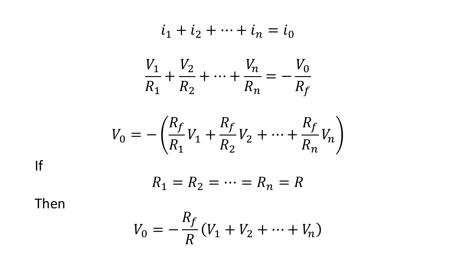$$
i_1 + i_2 + \dots + i_n = i_0
$$
  

$$
\frac{V_1}{R_1} + \frac{V_2}{R_2} + \dots + \frac{V_n}{R_n} = -\frac{V_0}{R_f}
$$

$$
V_0 = -\left(\frac{R_f}{R_1}V_1 + \frac{R_f}{R_2}V_2 + \dots + \frac{R_f}{R_n}V_n\right)
$$

$$
\mathsf{If}
$$

$$
R_1 = R_2 = \dots = R_n = R
$$

Then

$$
V_0 = -\frac{R_f}{R}(V_1 + V_2 + \dots + V_n)
$$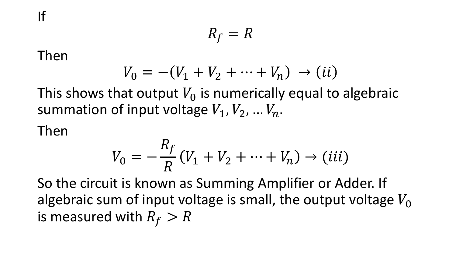$$
R_f = R
$$

Then

$$
V_0 = -(V_1 + V_2 + \dots + V_n) \to (ii)
$$

This shows that output  $V_0$  is numerically equal to algebraic summation of input voltage  $V_1$ ,  $V_2$ , ...  $V_n$ .

Then

$$
V_0 = -\frac{R_f}{R}(V_1 + V_2 + \dots + V_n) \to (iii)
$$

So the circuit is known as Summing Amplifier or Adder. If algebraic sum of input voltage is small, the output voltage  $V_0$ is measured with  $R_f > R$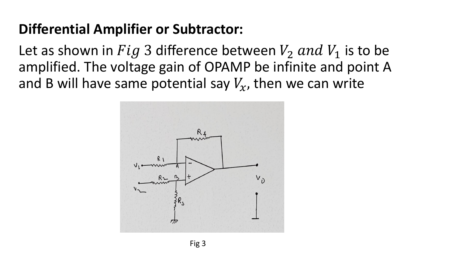# **Differential Amplifier or Subtractor:**

Let as shown in  $Fig 3$  difference between  $V_2$  and  $V_1$  is to be amplified. The voltage gain of OPAMP be infinite and point A and B will have same potential say  $V_x$ , then we can write

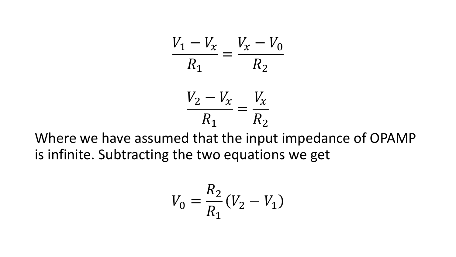$$
\frac{V_1 - V_x}{R_1} = \frac{V_x - V_0}{R_2}
$$

$$
\frac{V_2 - V_x}{R_1} = \frac{V_x}{R_2}
$$

Where we have assumed that the input impedance of OPAMP is infinite. Subtracting the two equations we get

$$
V_0 = \frac{R_2}{R_1} (V_2 - V_1)
$$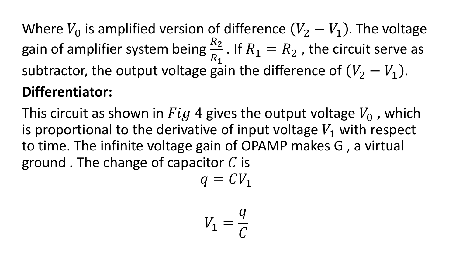Where  $V_0$  is amplified version of difference  $(V_2 - V_1)$ . The voltage gain of amplifier system being  $\frac{R_2}{R_1}$  $R_1$ . If  $R_1 = R_2$  , the circuit serve as subtractor, the output voltage gain the difference of  $(V_2 - V_1)$ . **Differentiator:**

This circuit as shown in  $Fig 4$  gives the output voltage  $V_0$ , which is proportional to the derivative of input voltage  $V_1$  with respect to time. The infinite voltage gain of OPAMP makes G , a virtual ground. The change of capacitor  $C$  is

$$
q = CV_1
$$

$$
V_1 = \frac{q}{C}
$$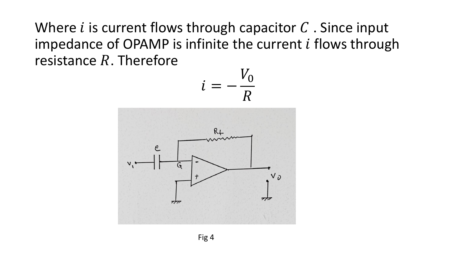Where  $i$  is current flows through capacitor  $C$ . Since input impedance of OPAMP is infinite the current  $i$  flows through resistance  $R$ . Therefore

$$
i=-\frac{V_0}{R}
$$

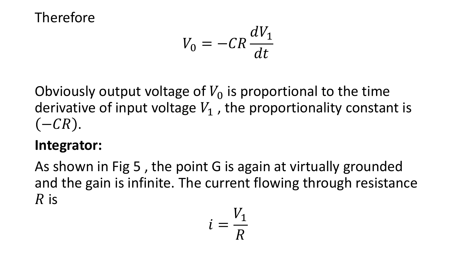## Therefore

$$
V_0 = -CR\frac{dV_1}{dt}
$$

Obviously output voltage of  $V_0$  is proportional to the time derivative of input voltage  $V_1$ , the proportionality constant is  $(-CR)$ .

## **Integrator:**

As shown in Fig 5 , the point G is again at virtually grounded and the gain is infinite. The current flowing through resistance  $R$  is

$$
i = \frac{V_1}{R}
$$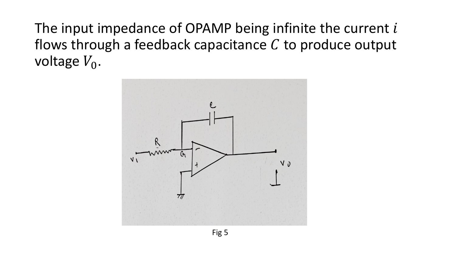The input impedance of OPAMP being infinite the current  $i$ flows through a feedback capacitance  $C$  to produce output voltage  $V_0$ .